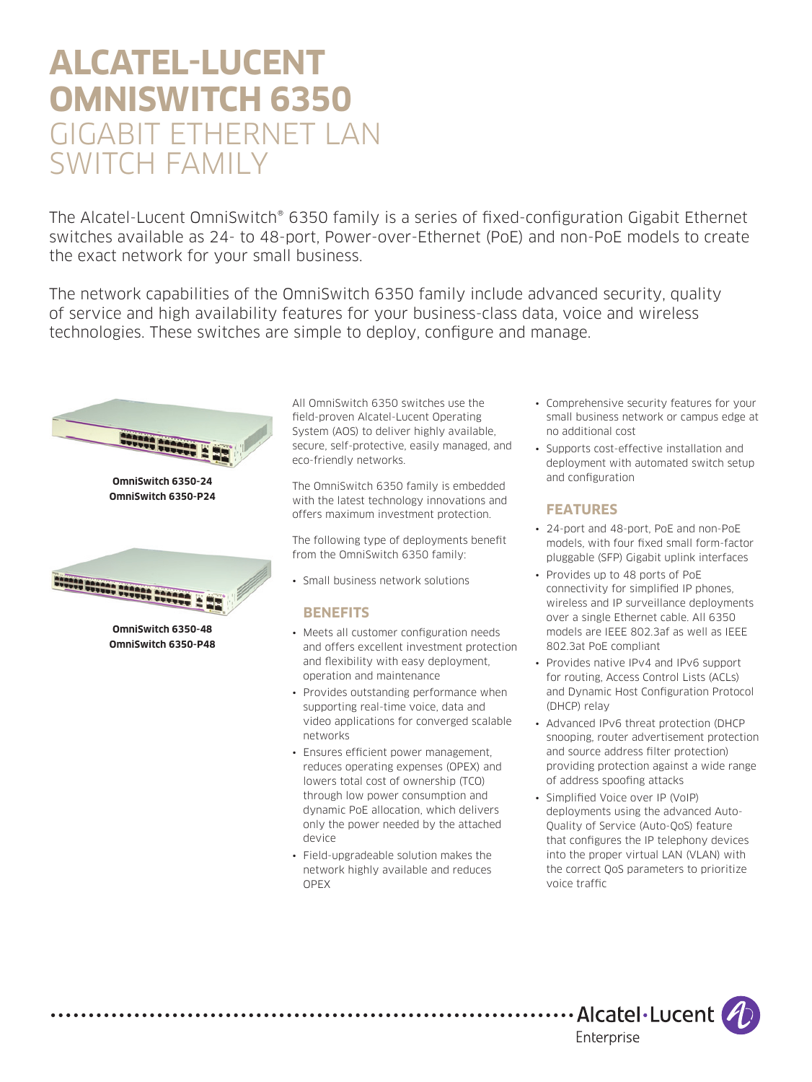# **ALCATEL-LUCENT OMNISWITCH 6350**  GIGABIT ETHERNET LAN SWITCH FAMILY

The Alcatel-Lucent OmniSwitch® 6350 family is a series of fixed-configuration Gigabit Ethernet switches available as 24- to 48-port, Power-over-Ethernet (PoE) and non-PoE models to create the exact network for your small business.

The network capabilities of the OmniSwitch 6350 family include advanced security, quality of service and high availability features for your business-class data, voice and wireless technologies. These switches are simple to deploy, configure and manage.



. . . . . . . . . . . . . . . .

All OmniSwitch 6350 switches use the field-proven Alcatel-Lucent Operating System (AOS) to deliver highly available, secure, self-protective, easily managed, and eco-friendly networks.

The OmniSwitch 6350 family is embedded with the latest technology innovations and offers maximum investment protection.

The following type of deployments benefit from the OmniSwitch 6350 family:

• Small business network solutions

#### **BENEFITS**

- Meets all customer configuration needs and offers excellent investment protection and flexibility with easy deployment, operation and maintenance
- Provides outstanding performance when supporting real-time voice, data and video applications for converged scalable networks
- Ensures efficient power management, reduces operating expenses (OPEX) and lowers total cost of ownership (TCO) through low power consumption and dynamic PoE allocation, which delivers only the power needed by the attached device
- Field-upgradeable solution makes the network highly available and reduces OPEX
- Comprehensive security features for your small business network or campus edge at no additional cost
- Supports cost-effective installation and deployment with automated switch setup and configuration

# **FEATURES**

- 24-port and 48-port, PoE and non-PoE models, with four fixed small form-factor pluggable (SFP) Gigabit uplink interfaces
- Provides up to 48 ports of PoE connectivity for simplified IP phones, wireless and IP surveillance deployments over a single Ethernet cable. All 6350 models are IEEE 802.3af as well as IEEE 802.3at PoE compliant
- Provides native IPv4 and IPv6 support for routing, Access Control Lists (ACLs) and Dynamic Host Configuration Protocol (DHCP) relay
- Advanced IPv6 threat protection (DHCP snooping, router advertisement protection and source address filter protection) providing protection against a wide range of address spoofing attacks
- Simplified Voice over IP (VoIP) deployments using the advanced Auto-Quality of Service (Auto-QoS) feature that configures the IP telephony devices into the proper virtual LAN (VLAN) with the correct QoS parameters to prioritize voice traffic

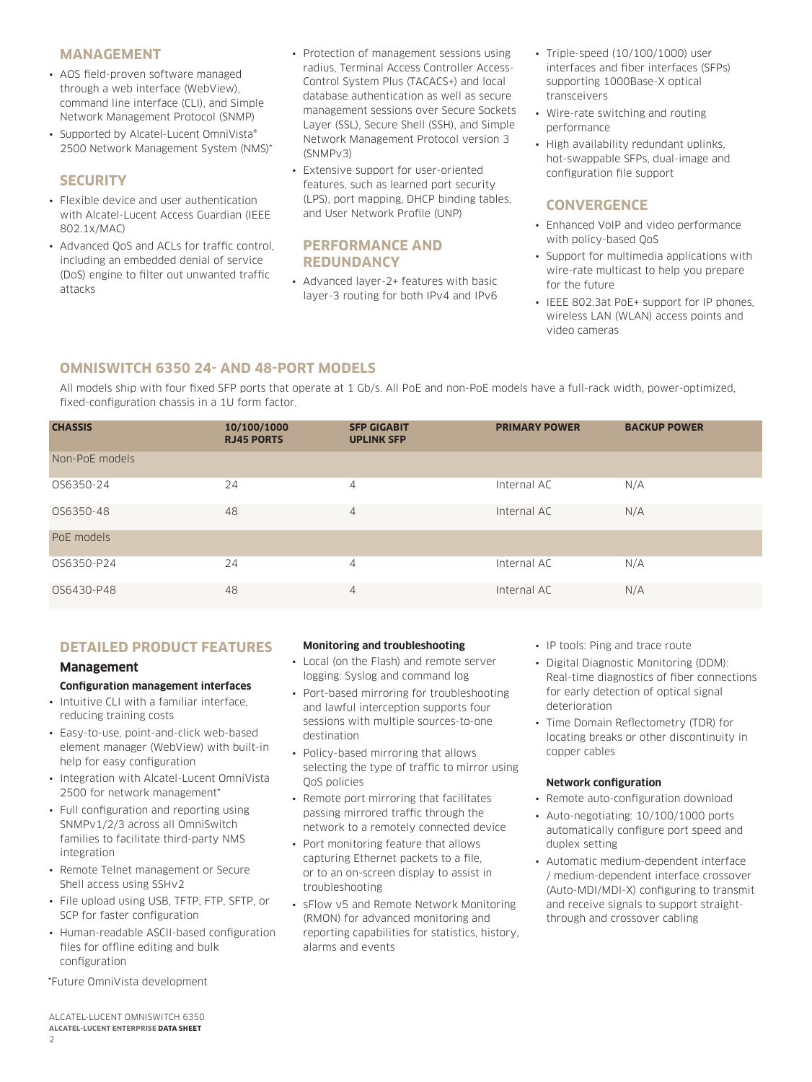#### **MANAGEMENT**

- AOS field-proven software managed through a web interface (WebView), command line interface (CLI), and Simple Network Management Protocol (SNMP)
- Supported by Alcatel-Lucent OmniVista® 2500 Network Management System (NMS)\*

#### **SECURITY**

- Flexible device and user authentication with Alcatel-Lucent Access Guardian (IEEE 802.1x/MAC)
- Advanced QoS and ACLs for traffic control, including an embedded denial of service (DoS) engine to filter out unwanted traffic attacks
- Protection of management sessions using radius, Terminal Access Controller Access-Control System Plus (TACACS+) and local database authentication as well as secure management sessions over Secure Sockets Layer (SSL), Secure Shell (SSH), and Simple Network Management Protocol version 3 (SNMPv3)
- Extensive support for user-oriented features, such as learned port security (LPS), port mapping, DHCP binding tables, and User Network Profile (UNP)

#### **PERFORMANCE AND REDUNDANCY**

• Advanced layer-2+ features with basic layer-3 routing for both IPv4 and IPv6

- Triple-speed (10/100/1000) user interfaces and fiber interfaces (SFPs) supporting 1000Base-X optical transceivers
- Wire-rate switching and routing performance
- High availability redundant uplinks, hot-swappable SFPs, dual-image and configuration file support

# **CONVERGENCE**

- Enhanced VoIP and video performance with policy-based QoS
- Support for multimedia applications with wire-rate multicast to help you prepare for the future
- IEEE 802.3at PoE+ support for IP phones, wireless LAN (WLAN) access points and video cameras

# **OMNISWITCH 6350 24- AND 48-PORT MODELS**

All models ship with four fixed SFP ports that operate at 1 Gb/s. All PoE and non-PoE models have a full-rack width, power-optimized, fixed-configuration chassis in a 1U form factor.

| <b>CHASSIS</b> | 10/100/1000<br><b>RJ45 PORTS</b> | <b>SFP GIGABIT</b><br><b>UPLINK SFP</b> | <b>PRIMARY POWER</b> | <b>BACKUP POWER</b> |
|----------------|----------------------------------|-----------------------------------------|----------------------|---------------------|
| Non-PoE models |                                  |                                         |                      |                     |
| OS6350-24      | 24                               | 4                                       | Internal AC          | N/A                 |
| OS6350-48      | 48                               | $\overline{4}$                          | Internal AC          | N/A                 |
| PoE models     |                                  |                                         |                      |                     |
| OS6350-P24     | 24                               | 4                                       | Internal AC          | N/A                 |
| OS6430-P48     | 48                               | $\overline{4}$                          | Internal AC          | N/A                 |

#### **DETAILED PRODUCT FEATURES**

#### **Management**

#### **Configuration management interfaces**

- Intuitive CLI with a familiar interface, reducing training costs
- Easy-to-use, point-and-click web-based element manager (WebView) with built-in help for easy configuration
- Integration with Alcatel-Lucent OmniVista 2500 for network management\*
- Full configuration and reporting using SNMPv1/2/3 across all OmniSwitch families to facilitate third-party NMS integration
- Remote Telnet management or Secure Shell access using SSHv2
- File upload using USB, TFTP, FTP, SFTP, or SCP for faster configuration
- Human-readable ASCII-based configuration files for offline editing and bulk configuration

\*Future OmniVista development

#### **Monitoring and troubleshooting**

- Local (on the Flash) and remote server logging: Syslog and command log
- Port-based mirroring for troubleshooting and lawful interception supports four sessions with multiple sources-to-one destination
- Policy-based mirroring that allows selecting the type of traffic to mirror using QoS policies
- Remote port mirroring that facilitates passing mirrored traffic through the network to a remotely connected device
- Port monitoring feature that allows capturing Ethernet packets to a file, or to an on-screen display to assist in troubleshooting
- sFlow v5 and Remote Network Monitoring (RMON) for advanced monitoring and reporting capabilities for statistics, history, alarms and events
- IP tools: Ping and trace route
- Digital Diagnostic Monitoring (DDM): Real-time diagnostics of fiber connections for early detection of optical signal deterioration
- Time Domain Reflectometry (TDR) for locating breaks or other discontinuity in copper cables

#### **Network configuration**

- Remote auto-configuration download
- Auto-negotiating: 10/100/1000 ports automatically configure port speed and duplex setting
- Automatic medium-dependent interface / medium-dependent interface crossover (Auto-MDI/MDI-X) configuring to transmit and receive signals to support straightthrough and crossover cabling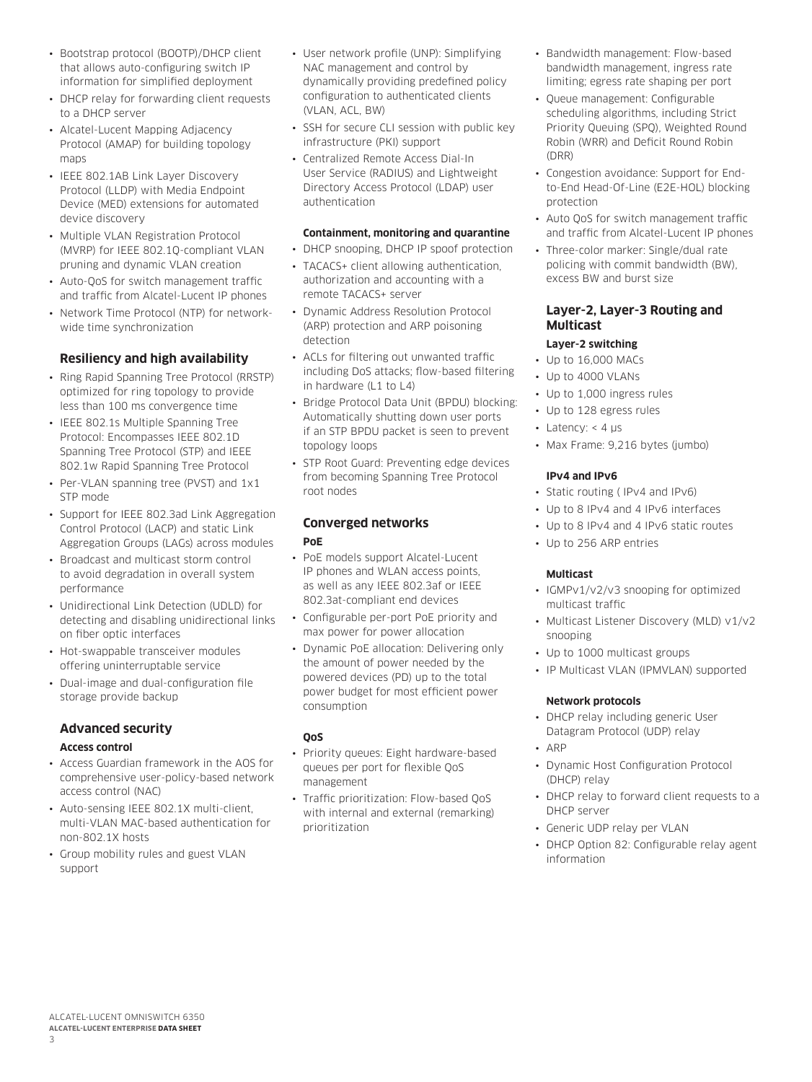- Bootstrap protocol (BOOTP)/DHCP client that allows auto-configuring switch IP information for simplified deployment
- DHCP relay for forwarding client requests to a DHCP server
- Alcatel-Lucent Mapping Adjacency Protocol (AMAP) for building topology mans
- IEEE 802.1AB Link Layer Discovery Protocol (LLDP) with Media Endpoint Device (MED) extensions for automated device discovery
- Multiple VLAN Registration Protocol (MVRP) for IEEE 802.1Q-compliant VLAN pruning and dynamic VLAN creation
- Auto-QoS for switch management traffic and traffic from Alcatel-Lucent IP phones
- Network Time Protocol (NTP) for networkwide time synchronization

# **Resiliency and high availability**

- Ring Rapid Spanning Tree Protocol (RRSTP) optimized for ring topology to provide less than 100 ms convergence time
- IEEE 802.1s Multiple Spanning Tree Protocol: Encompasses IEEE 802.1D Spanning Tree Protocol (STP) and IEEE 802.1w Rapid Spanning Tree Protocol
- Per-VLAN spanning tree (PVST) and 1x1 STP mode
- Support for IEEE 802.3ad Link Aggregation Control Protocol (LACP) and static Link Aggregation Groups (LAGs) across modules
- Broadcast and multicast storm control to avoid degradation in overall system performance
- Unidirectional Link Detection (UDLD) for detecting and disabling unidirectional links on fiber optic interfaces
- Hot-swappable transceiver modules offering uninterruptable service
- Dual-image and dual-configuration file storage provide backup

# **Advanced security**

#### **Access control**

- Access Guardian framework in the AOS for comprehensive user-policy-based network access control (NAC)
- Auto-sensing IEEE 802.1X multi-client, multi-VLAN MAC-based authentication for non-802.1X hosts
- Group mobility rules and guest VLAN support
- User network profile (UNP): Simplifying NAC management and control by dynamically providing predefined policy configuration to authenticated clients (VLAN, ACL, BW)
- SSH for secure CLI session with public key infrastructure (PKI) support
- Centralized Remote Access Dial-In User Service (RADIUS) and Lightweight Directory Access Protocol (LDAP) user authentication

#### **Containment, monitoring and quarantine**

- DHCP snooping, DHCP IP spoof protection
- TACACS+ client allowing authentication, authorization and accounting with a remote TACACS+ server
- Dynamic Address Resolution Protocol (ARP) protection and ARP poisoning detection
- ACLs for filtering out unwanted traffic including DoS attacks; flow-based filtering in hardware (L1 to L4)
- Bridge Protocol Data Unit (BPDU) blocking: Automatically shutting down user ports if an STP BPDU packet is seen to prevent topology loops
- STP Root Guard: Preventing edge devices from becoming Spanning Tree Protocol root nodes

#### **Converged networks PoE**

- PoE models support Alcatel-Lucent IP phones and WLAN access points, as well as any IEEE 802.3af or IEEE 802.3at-compliant end devices
- Configurable per-port PoE priority and max power for power allocation
- Dynamic PoE allocation: Delivering only the amount of power needed by the powered devices (PD) up to the total power budget for most efficient power consumption

#### **QoS**

- Priority queues: Eight hardware-based queues per port for flexible QoS management
- Traffic prioritization: Flow-based QoS with internal and external (remarking) prioritization
- Bandwidth management: Flow-based bandwidth management, ingress rate limiting; egress rate shaping per port
- Queue management: Configurable scheduling algorithms, including Strict Priority Queuing (SPQ), Weighted Round Robin (WRR) and Deficit Round Robin (DRR)
- Congestion avoidance: Support for Endto-End Head-Of-Line (E2E-HOL) blocking protection
- Auto QoS for switch management traffic and traffic from Alcatel-Lucent IP phones
- Three-color marker: Single/dual rate policing with commit bandwidth (BW), excess BW and burst size

#### **Layer-2, Layer-3 Routing and Multicast**

#### **Layer-2 switching**

- Up to 16,000 MACs
- Up to 4000 VLANs
- Up to 1,000 ingress rules
- Up to 128 egress rules
- Latency:  $<$  4  $\mu$ s
- Max Frame: 9,216 bytes (jumbo)

#### **IPv4 and IPv6**

- Static routing ( IPv4 and IPv6)
- Up to 8 IPv4 and 4 IPv6 interfaces
- Up to 8 IPv4 and 4 IPv6 static routes
- Up to 256 ARP entries

#### **Multicast**

- IGMPv1/v2/v3 snooping for optimized multicast traffic
- Multicast Listener Discovery (MLD) v1/v2 snooping
- Up to 1000 multicast groups
- IP Multicast VLAN (IPMVLAN) supported

#### **Network protocols**

• DHCP relay including generic User Datagram Protocol (UDP) relay

#### • ARP

- Dynamic Host Configuration Protocol (DHCP) relay
- DHCP relay to forward client requests to a DHCP server
- Generic UDP relay per VLAN
- DHCP Option 82: Configurable relay agent information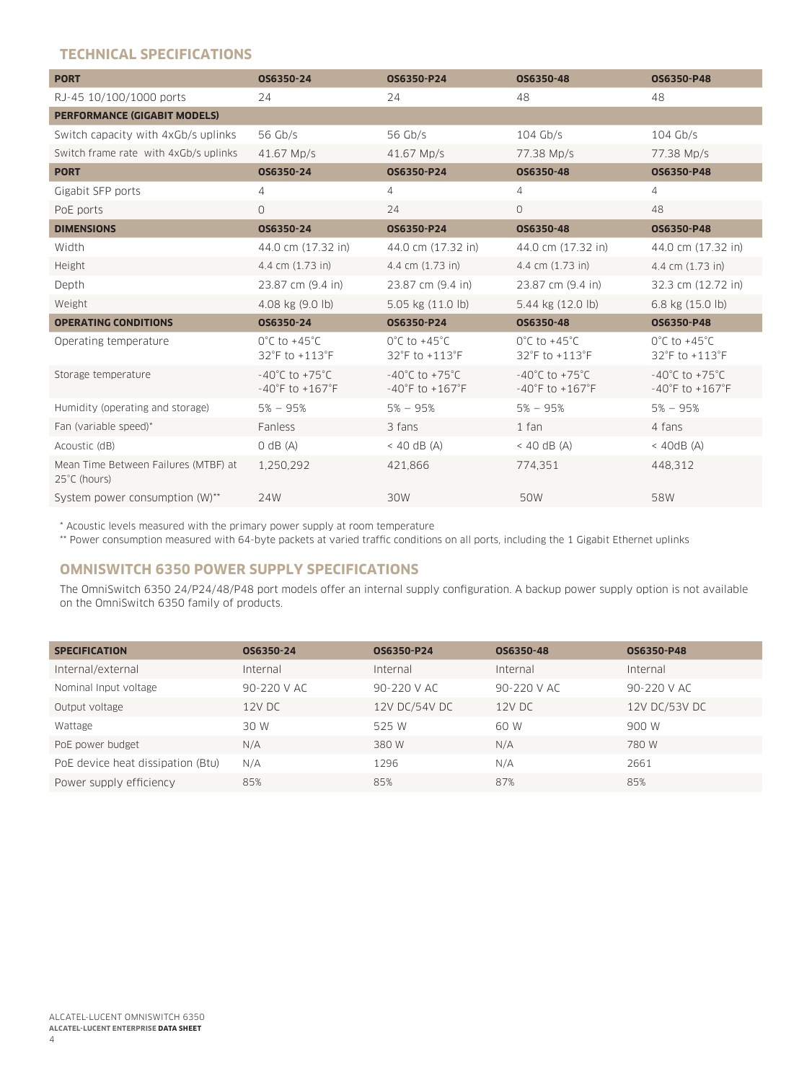# **TECHNICAL SPECIFICATIONS**

| <b>PORT</b>                                          | OS6350-24                                                                 | OS6350-P24                                                                | OS6350-48                                                                 | OS6350-P48                                                                |
|------------------------------------------------------|---------------------------------------------------------------------------|---------------------------------------------------------------------------|---------------------------------------------------------------------------|---------------------------------------------------------------------------|
| RJ-45 10/100/1000 ports                              | 24                                                                        | 24                                                                        | 48                                                                        | 48                                                                        |
| <b>PERFORMANCE (GIGABIT MODELS)</b>                  |                                                                           |                                                                           |                                                                           |                                                                           |
| Switch capacity with 4xGb/s uplinks                  | 56 Gb/s                                                                   | 56 Gb/s                                                                   | $104$ Gb/s                                                                | $104$ Gb/s                                                                |
| Switch frame rate with 4xGb/s uplinks                | 41.67 Mp/s                                                                | 41.67 Mp/s                                                                | 77.38 Mp/s                                                                | 77.38 Mp/s                                                                |
| <b>PORT</b>                                          | OS6350-24                                                                 | OS6350-P24                                                                | OS6350-48                                                                 | OS6350-P48                                                                |
| Gigabit SFP ports                                    | 4                                                                         | $\overline{4}$                                                            | 4                                                                         | $\overline{4}$                                                            |
| PoE ports                                            | 0                                                                         | 24                                                                        | $\circ$                                                                   | 48                                                                        |
| <b>DIMENSIONS</b>                                    | OS6350-24                                                                 | OS6350-P24                                                                | OS6350-48                                                                 | OS6350-P48                                                                |
| Width                                                | 44.0 cm (17.32 in)                                                        | 44.0 cm (17.32 in)                                                        | 44.0 cm (17.32 in)                                                        | 44.0 cm (17.32 in)                                                        |
| Height                                               | 4.4 cm (1.73 in)                                                          | 4.4 cm (1.73 in)                                                          | 4.4 cm (1.73 in)                                                          | 4.4 cm (1.73 in)                                                          |
| Depth                                                | 23.87 cm (9.4 in)                                                         | 23.87 cm (9.4 in)                                                         | 23.87 cm (9.4 in)                                                         | 32.3 cm (12.72 in)                                                        |
| Weight                                               | 4.08 kg (9.0 lb)                                                          | 5.05 kg (11.0 lb)                                                         | 5.44 kg (12.0 lb)                                                         | 6.8 kg (15.0 lb)                                                          |
| <b>OPERATING CONDITIONS</b>                          | OS6350-24                                                                 | OS6350-P24                                                                | OS6350-48                                                                 | OS6350-P48                                                                |
| Operating temperature                                | $0^{\circ}$ C to +45 $^{\circ}$ C<br>32°F to +113°F                       | $0^{\circ}$ C to +45 $^{\circ}$ C<br>32°F to +113°F                       | $0^{\circ}$ C to +45 $^{\circ}$ C<br>32°F to +113°F                       | $0^{\circ}$ C to +45 $^{\circ}$ C<br>32°F to +113°F                       |
| Storage temperature                                  | $-40^{\circ}$ C to $+75^{\circ}$ C<br>$-40^{\circ}$ F to $+167^{\circ}$ F | $-40^{\circ}$ C to $+75^{\circ}$ C<br>$-40^{\circ}$ F to $+167^{\circ}$ F | $-40^{\circ}$ C to $+75^{\circ}$ C<br>$-40^{\circ}$ F to $+167^{\circ}$ F | $-40^{\circ}$ C to $+75^{\circ}$ C<br>$-40^{\circ}$ F to $+167^{\circ}$ F |
| Humidity (operating and storage)                     | $5% - 95%$                                                                | $5% - 95%$                                                                | $5% - 95%$                                                                | $5% - 95%$                                                                |
| Fan (variable speed)*                                | Fanless                                                                   | 3 fans                                                                    | 1 fan                                                                     | 4 fans                                                                    |
| Acoustic (dB)                                        | $O$ dB $(A)$                                                              | $<$ 40 dB (A)                                                             | $<$ 40 dB (A)                                                             | $<$ 40dB (A)                                                              |
| Mean Time Between Failures (MTBF) at<br>25°C (hours) | 1,250,292                                                                 | 421,866                                                                   | 774,351                                                                   | 448,312                                                                   |
| System power consumption (W)**                       | 24W                                                                       | 30W                                                                       | 50W                                                                       | 58W                                                                       |

\* Acoustic levels measured with the primary power supply at room temperature

\*\* Power consumption measured with 64-byte packets at varied traffic conditions on all ports, including the 1 Gigabit Ethernet uplinks

# **OMNISWITCH 6350 POWER SUPPLY SPECIFICATIONS**

The OmniSwitch 6350 24/P24/48/P48 port models offer an internal supply configuration. A backup power supply option is not available on the OmniSwitch 6350 family of products.

| <b>SPECIFICATION</b>              | OS6350-24       | OS6350-P24      | OS6350-48       | OS6350-P48      |
|-----------------------------------|-----------------|-----------------|-----------------|-----------------|
| Internal/external                 | Internal        | Internal        | Internal        | Internal        |
| Nominal Input voltage             | $90 - 220$ V AC | $90 - 220$ V AC | $90 - 220$ V AC | $90 - 220$ V AC |
| Output voltage                    | 12V DC          | 12V DC/54V DC   | $12V$ DC        | 12V DC/53V DC   |
| Wattage                           | 30 W            | 525 W           | 60 W            | 900 W           |
| PoE power budget                  | N/A             | 380 W           | N/A             | 780 W           |
| PoE device heat dissipation (Btu) | N/A             | 1296            | N/A             | 2661            |
| Power supply efficiency           | 85%             | 85%             | 87%             | 85%             |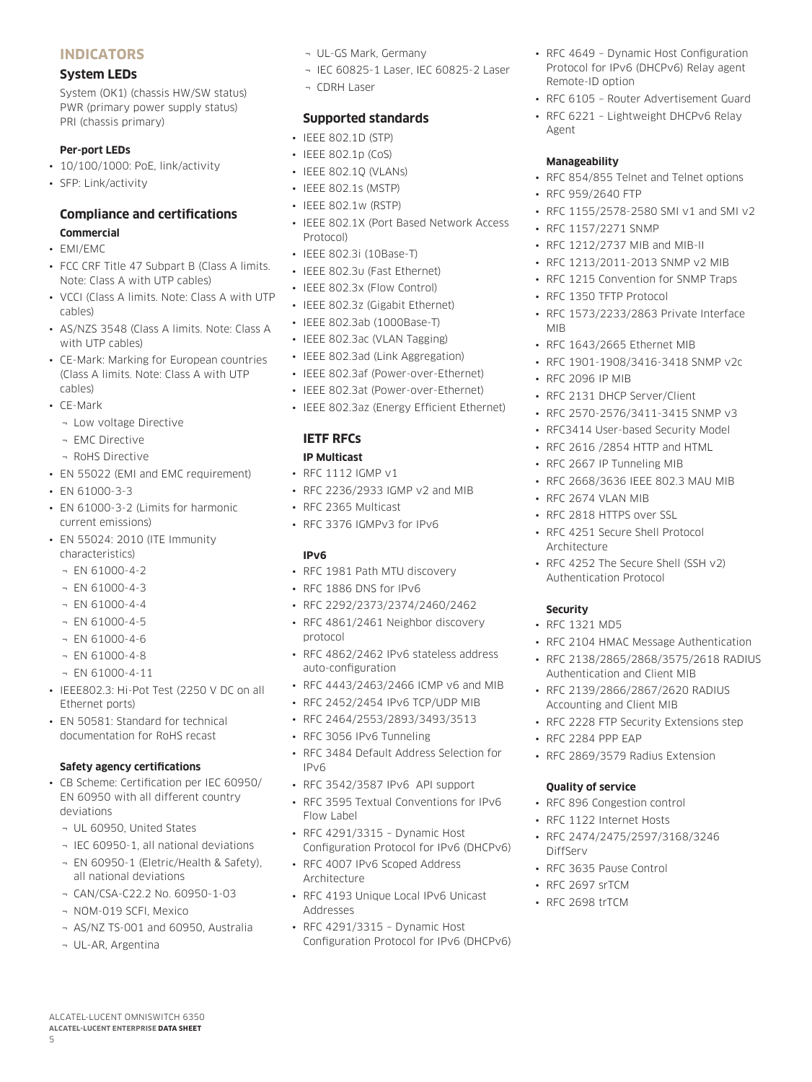# **INDICATORS**

#### **System LEDs**

System (OK1) (chassis HW/SW status) PWR (primary power supply status) PRI (chassis primary)

#### **Per-port LEDs**

- 10/100/1000: PoE, link/activity
- SFP: Link/activity

# **Compliance and certifications**

# **Commercial**

- EMI/EMC
- FCC CRF Title 47 Subpart B (Class A limits. Note: Class A with UTP cables)
- VCCI (Class A limits. Note: Class A with UTP cables)
- AS/NZS 3548 (Class A limits. Note: Class A with UTP cables)
- CE-Mark: Marking for European countries (Class A limits. Note: Class A with UTP cables)
- CE-Mark
	- ¬ Low voltage Directive
	- ¬ EMC Directive
	- ¬ RoHS Directive
- EN 55022 (EMI and EMC requirement)
- EN 61000-3-3
- EN 61000-3-2 (Limits for harmonic current emissions)
- EN 55024: 2010 (ITE Immunity characteristics)
	- ¬ EN 61000-4-2
	- $\neg$  EN 61000-4-3
	- ¬ EN 61000-4-4
	- $\neg$  EN 61000-4-5
	- ¬ EN 61000-4-6
	- ¬ EN 61000-4-8
	- $\neg$  EN 61000-4-11
- IEEE802.3: Hi-Pot Test (2250 V DC on all Ethernet ports)
- EN 50581: Standard for technical documentation for RoHS recast

#### **Safety agency certifications**

- CB Scheme: Certification per IEC 60950/ EN 60950 with all different country deviations
	- ¬ UL 60950, United States
	- ¬ IEC 60950-1, all national deviations
	- ¬ EN 60950-1 (Eletric/Health & Safety), all national deviations
	- ¬ CAN/CSA-C22.2 No. 60950-1-03
	- ¬ NOM-019 SCFI, Mexico

ALCATEL-LUCENT OMNISWITCH 6350 **ALCATEL-LUCENT ENTERPRISE DATA SHEET**

- ¬ AS/NZ TS-001 and 60950, Australia
- ¬ UL-AR, Argentina

5

- ¬ UL-GS Mark, Germany
- ¬ IEC 60825-1 Laser, IEC 60825-2 Laser
- ¬ CDRH Laser

# **Supported standards**

- IEEE 802.1D (STP)
- IEEE 802.1p (CoS)
- IEEE 802.1Q (VLANs)
- IEEE 802.1s (MSTP)
- IEEE 802.1w (RSTP)
- IEEE 802.1X (Port Based Network Access Protocol)
- IFFF 802.3i (10Base-T)
- IEEE 802.3u (Fast Ethernet)
- IEEE 802.3x (Flow Control)
- IEEE 802.3z (Gigabit Ethernet)
- IEEE 802.3ab (1000Base-T)
- IEEE 802.3ac (VLAN Tagging)
- IEEE 802.3ad (Link Aggregation)
- IEEE 802.3af (Power-over-Ethernet)
- IEEE 802.3at (Power-over-Ethernet)
- IEEE 802.3az (Energy Efficient Ethernet)

# **IETF RFCs**

#### **IP Multicast**

- RFC 1112 IGMP v1
- RFC 2236/2933 IGMP v2 and MIB
- RFC 2365 Multicast
- RFC 3376 IGMPv3 for IPv6

#### **IPv6**

- RFC 1981 Path MTU discovery
- RFC 1886 DNS for IPv6
- RFC 2292/2373/2374/2460/2462
- RFC 4861/2461 Neighbor discovery protocol
- RFC 4862/2462 IPv6 stateless address auto-configuration
- RFC 4443/2463/2466 ICMP v6 and MIB
- RFC 2452/2454 IPv6 TCP/UDP MIB
- RFC 2464/2553/2893/3493/3513
- RFC 3056 IPv6 Tunneling
- RFC 3484 Default Address Selection for IPv6
- RFC 3542/3587 IPv6 API support
- RFC 3595 Textual Conventions for IPv6 Flow Label
- RFC 4291/3315 Dynamic Host Configuration Protocol for IPv6 (DHCPv6)
- RFC 4007 IPv6 Scoped Address Architecture
- RFC 4193 Unique Local IPv6 Unicast Addresses
- RFC 4291/3315 Dynamic Host Configuration Protocol for IPv6 (DHCPv6)
- RFC 4649 Dynamic Host Configuration Protocol for IPv6 (DHCPv6) Relay agent Remote-ID option
- RFC 6105 Router Advertisement Guard
- RFC 6221 Lightweight DHCPv6 Relay Agent

#### **Manageability**

- RFC 854/855 Telnet and Telnet options
- RFC 959/2640 FTP
- RFC 1155/2578-2580 SMI v1 and SMI v2
- RFC 1157/2271 SNMP
- RFC 1212/2737 MIB and MIB-II
- RFC 1213/2011-2013 SNMP v2 MIB
- RFC 1215 Convention for SNMP Traps
- RFC 1350 TFTP Protocol
- RFC 1573/2233/2863 Private Interface MIB
- RFC 1643/2665 Ethernet MIB
- RFC 1901-1908/3416-3418 SNMP v2c
- RFC 2096 IP MIB

• RFC 2674 VLAN MIB • RFC 2818 HTTPS over SSL • RFC 4251 Secure Shell Protocol

Architecture

**Security**  • RFC 1321 MD5

• RFC 2131 DHCP Server/Client

• RFC 2616 /2854 HTTP and HTML • RFC 2667 IP Tunneling MIB

• RFC 2570-2576/3411-3415 SNMP v3 • RFC3414 User-based Security Model

• RFC 2668/3636 IEEE 802.3 MAU MIB

• RFC 4252 The Secure Shell (SSH v2)

• RFC 2104 HMAC Message Authentication • RFC 2138/2865/2868/3575/2618 RADIUS

• RFC 2228 FTP Security Extensions step

Authentication and Client MIB • RFC 2139/2866/2867/2620 RADIUS Accounting and Client MIB

• RFC 2869/3579 Radius Extension

• RFC 2474/2475/2597/3168/3246

• RFC 2284 PPP EAP

**Quality of service**  • RFC 896 Congestion control • RFC 1122 Internet Hosts

• RFC 3635 Pause Control • RFC 2697 srTCM • RFC 2698 trTCM

DiffServ

Authentication Protocol